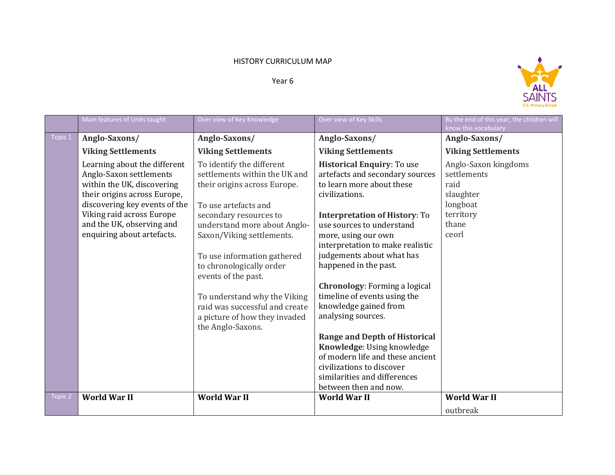## HISTORY CURRICULUM MAP

Year 6



|         | Main features of Units taught                                                                                                                                                                                                                  | Over view of Key Knowledge                                                                                                                                                                                                                                                                                                                                                                                          | Over view of Key Skills                                                                                                                                                                                                                                                                                                                                                                                                                                                                                                                                                                                                   | By the end of this year, the children will<br>know this vocabulary                                  |
|---------|------------------------------------------------------------------------------------------------------------------------------------------------------------------------------------------------------------------------------------------------|---------------------------------------------------------------------------------------------------------------------------------------------------------------------------------------------------------------------------------------------------------------------------------------------------------------------------------------------------------------------------------------------------------------------|---------------------------------------------------------------------------------------------------------------------------------------------------------------------------------------------------------------------------------------------------------------------------------------------------------------------------------------------------------------------------------------------------------------------------------------------------------------------------------------------------------------------------------------------------------------------------------------------------------------------------|-----------------------------------------------------------------------------------------------------|
| Topic 1 | Anglo-Saxons/                                                                                                                                                                                                                                  | Anglo-Saxons/                                                                                                                                                                                                                                                                                                                                                                                                       | Anglo-Saxons/                                                                                                                                                                                                                                                                                                                                                                                                                                                                                                                                                                                                             | Anglo-Saxons/                                                                                       |
|         | <b>Viking Settlements</b>                                                                                                                                                                                                                      | <b>Viking Settlements</b>                                                                                                                                                                                                                                                                                                                                                                                           | <b>Viking Settlements</b>                                                                                                                                                                                                                                                                                                                                                                                                                                                                                                                                                                                                 | <b>Viking Settlements</b>                                                                           |
|         | Learning about the different<br>Anglo-Saxon settlements<br>within the UK, discovering<br>their origins across Europe,<br>discovering key events of the<br>Viking raid across Europe<br>and the UK, observing and<br>enquiring about artefacts. | To identify the different<br>settlements within the UK and<br>their origins across Europe.<br>To use artefacts and<br>secondary resources to<br>understand more about Anglo-<br>Saxon/Viking settlements.<br>To use information gathered<br>to chronologically order<br>events of the past.<br>To understand why the Viking<br>raid was successful and create<br>a picture of how they invaded<br>the Anglo-Saxons. | <b>Historical Enquiry: To use</b><br>artefacts and secondary sources<br>to learn more about these<br>civilizations.<br><b>Interpretation of History: To</b><br>use sources to understand<br>more, using our own<br>interpretation to make realistic<br>judgements about what has<br>happened in the past.<br>Chronology: Forming a logical<br>timeline of events using the<br>knowledge gained from<br>analysing sources.<br><b>Range and Depth of Historical</b><br>Knowledge: Using knowledge<br>of modern life and these ancient<br>civilizations to discover<br>similarities and differences<br>between then and now. | Anglo-Saxon kingdoms<br>settlements<br>raid<br>slaughter<br>longboat<br>territory<br>thane<br>ceorl |
| Topic 2 | <b>World War II</b>                                                                                                                                                                                                                            | <b>World War II</b>                                                                                                                                                                                                                                                                                                                                                                                                 | <b>World War II</b>                                                                                                                                                                                                                                                                                                                                                                                                                                                                                                                                                                                                       | <b>World War II</b>                                                                                 |
|         |                                                                                                                                                                                                                                                |                                                                                                                                                                                                                                                                                                                                                                                                                     |                                                                                                                                                                                                                                                                                                                                                                                                                                                                                                                                                                                                                           | outbreak                                                                                            |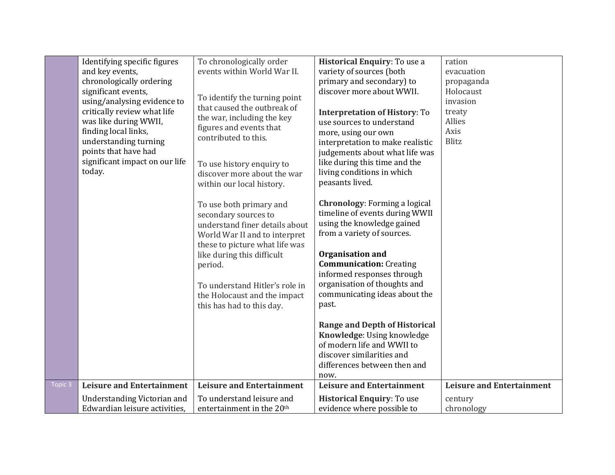|         | Identifying specific figures<br>and key events,<br>chronologically ordering<br>significant events,<br>using/analysing evidence to<br>critically review what life<br>was like during WWII,<br>finding local links,<br>understanding turning<br>points that have had<br>significant impact on our life<br>today. | To chronologically order<br>events within World War II.<br>To identify the turning point<br>that caused the outbreak of<br>the war, including the key<br>figures and events that<br>contributed to this.<br>To use history enquiry to<br>discover more about the war<br>within our local history.<br>To use both primary and<br>secondary sources to<br>understand finer details about<br>World War II and to interpret<br>these to picture what life was<br>like during this difficult<br>period.<br>To understand Hitler's role in<br>the Holocaust and the impact<br>this has had to this day. | Historical Enquiry: To use a<br>variety of sources (both<br>primary and secondary) to<br>discover more about WWII.<br><b>Interpretation of History: To</b><br>use sources to understand<br>more, using our own<br>interpretation to make realistic<br>judgements about what life was<br>like during this time and the<br>living conditions in which<br>peasants lived.<br><b>Chronology:</b> Forming a logical<br>timeline of events during WWII<br>using the knowledge gained<br>from a variety of sources.<br><b>Organisation and</b><br><b>Communication: Creating</b><br>informed responses through<br>organisation of thoughts and<br>communicating ideas about the<br>past.<br><b>Range and Depth of Historical</b><br>Knowledge: Using knowledge<br>of modern life and WWII to<br>discover similarities and<br>differences between then and | ration<br>evacuation<br>propaganda<br>Holocaust<br>invasion<br>treaty<br>Allies<br>Axis<br><b>Blitz</b> |
|---------|----------------------------------------------------------------------------------------------------------------------------------------------------------------------------------------------------------------------------------------------------------------------------------------------------------------|---------------------------------------------------------------------------------------------------------------------------------------------------------------------------------------------------------------------------------------------------------------------------------------------------------------------------------------------------------------------------------------------------------------------------------------------------------------------------------------------------------------------------------------------------------------------------------------------------|----------------------------------------------------------------------------------------------------------------------------------------------------------------------------------------------------------------------------------------------------------------------------------------------------------------------------------------------------------------------------------------------------------------------------------------------------------------------------------------------------------------------------------------------------------------------------------------------------------------------------------------------------------------------------------------------------------------------------------------------------------------------------------------------------------------------------------------------------|---------------------------------------------------------------------------------------------------------|
| Topic 3 | <b>Leisure and Entertainment</b>                                                                                                                                                                                                                                                                               | <b>Leisure and Entertainment</b>                                                                                                                                                                                                                                                                                                                                                                                                                                                                                                                                                                  | now.<br><b>Leisure and Entertainment</b>                                                                                                                                                                                                                                                                                                                                                                                                                                                                                                                                                                                                                                                                                                                                                                                                           | <b>Leisure and Entertainment</b>                                                                        |
|         | <b>Understanding Victorian and</b><br>Edwardian leisure activities.                                                                                                                                                                                                                                            | To understand leisure and<br>entertainment in the 20 <sup>th</sup>                                                                                                                                                                                                                                                                                                                                                                                                                                                                                                                                | <b>Historical Enquiry: To use</b><br>evidence where possible to                                                                                                                                                                                                                                                                                                                                                                                                                                                                                                                                                                                                                                                                                                                                                                                    | century<br>chronology                                                                                   |